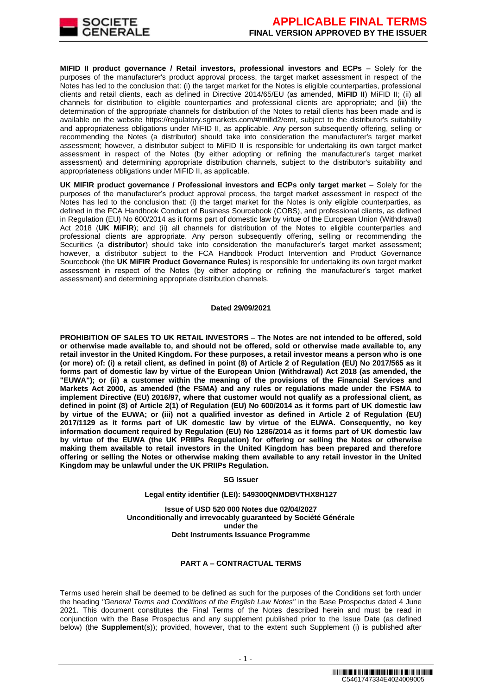

**MIFID II product governance / Retail investors, professional investors and ECPs** – Solely for the purposes of the manufacturer's product approval process, the target market assessment in respect of the Notes has led to the conclusion that: (i) the target market for the Notes is eligible counterparties, professional clients and retail clients, each as defined in Directive 2014/65/EU (as amended, **MiFID II**) MiFID II; (ii) all channels for distribution to eligible counterparties and professional clients are appropriate; and (iii) the determination of the appropriate channels for distribution of the Notes to retail clients has been made and is available on the website https://regulatory.sgmarkets.com/#/mifid2/emt, subject to the distributor's suitability and appropriateness obligations under MiFID II, as applicable. Any person subsequently offering, selling or recommending the Notes (a distributor) should take into consideration the manufacturer's target market assessment; however, a distributor subject to MiFID II is responsible for undertaking its own target market assessment in respect of the Notes (by either adopting or refining the manufacturer's target market assessment) and determining appropriate distribution channels, subject to the distributor's suitability and appropriateness obligations under MiFID II, as applicable.

**UK MIFIR product governance / Professional investors and ECPs only target market** – Solely for the purposes of the manufacturer's product approval process, the target market assessment in respect of the Notes has led to the conclusion that: (i) the target market for the Notes is only eligible counterparties, as defined in the FCA Handbook Conduct of Business Sourcebook (COBS), and professional clients, as defined in Regulation (EU) No 600/2014 as it forms part of domestic law by virtue of the European Union (Withdrawal) Act 2018 (UK MiFIR); and (ii) all channels for distribution of the Notes to eligible counterparties and professional clients are appropriate. Any person subsequently offering, selling or recommending the Securities (a **distributor**) should take into consideration the manufacturer's target market assessment; however, a distributor subject to the FCA Handbook Product Intervention and Product Governance Sourcebook (the **UK MiFIR Product Governance Rules**) is responsible for undertaking its own target market assessment in respect of the Notes (by either adopting or refining the manufacturer's target market assessment) and determining appropriate distribution channels.

#### **Dated 29/09/2021**

**PROHIBITION OF SALES TO UK RETAIL INVESTORS – The Notes are not intended to be offered, sold or otherwise made available to, and should not be offered, sold or otherwise made available to, any retail investor in the United Kingdom. For these purposes, a retail investor means a person who is one (or more) of: (i) a retail client, as defined in point (8) of Article 2 of Regulation (EU) No 2017/565 as it forms part of domestic law by virtue of the European Union (Withdrawal) Act 2018 (as amended, the "EUWA"); or (ii) a customer within the meaning of the provisions of the Financial Services and Markets Act 2000, as amended (the FSMA) and any rules or regulations made under the FSMA to implement Directive (EU) 2016/97, where that customer would not qualify as a professional client, as defined in point (8) of Article 2(1) of Regulation (EU) No 600/2014 as it forms part of UK domestic law by virtue of the EUWA; or (iii) not a qualified investor as defined in Article 2 of Regulation (EU) 2017/1129 as it forms part of UK domestic law by virtue of the EUWA. Consequently, no key information document required by Regulation (EU) No 1286/2014 as it forms part of UK domestic law by virtue of the EUWA (the UK PRIIPs Regulation) for offering or selling the Notes or otherwise making them available to retail investors in the United Kingdom has been prepared and therefore offering or selling the Notes or otherwise making them available to any retail investor in the United Kingdom may be unlawful under the UK PRIIPs Regulation.**

#### **SG Issuer**

#### **Legal entity identifier (LEI): 549300QNMDBVTHX8H127**

**Issue of USD 520 000 Notes due 02/04/2027 Unconditionally and irrevocably guaranteed by Société Générale under the Debt Instruments Issuance Programme**

## **PART A – CONTRACTUAL TERMS**

Terms used herein shall be deemed to be defined as such for the purposes of the Conditions set forth under the heading *"General Terms and Conditions of the English Law Notes"* in the Base Prospectus dated 4 June 2021. This document constitutes the Final Terms of the Notes described herein and must be read in conjunction with the Base Prospectus and any supplement published prior to the Issue Date (as defined below) (the **Supplement**(s)); provided, however, that to the extent such Supplement (i) is published after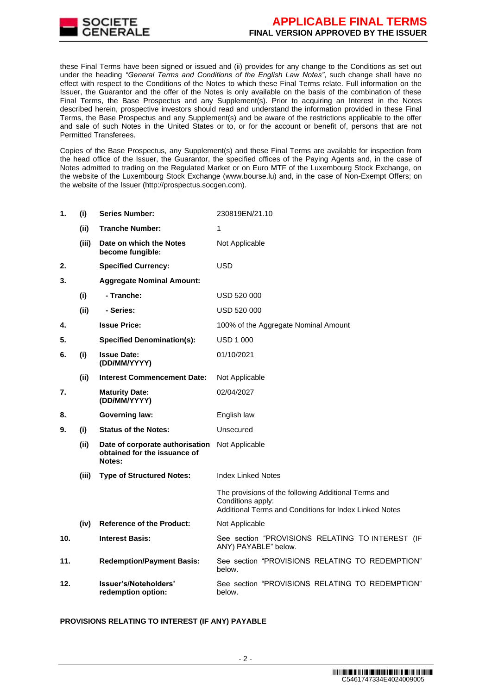

these Final Terms have been signed or issued and (ii) provides for any change to the Conditions as set out under the heading *"General Terms and Conditions of the English Law Notes"*, such change shall have no effect with respect to the Conditions of the Notes to which these Final Terms relate. Full information on the Issuer, the Guarantor and the offer of the Notes is only available on the basis of the combination of these Final Terms, the Base Prospectus and any Supplement(s). Prior to acquiring an Interest in the Notes described herein, prospective investors should read and understand the information provided in these Final Terms, the Base Prospectus and any Supplement(s) and be aware of the restrictions applicable to the offer and sale of such Notes in the United States or to, or for the account or benefit of, persons that are not Permitted Transferees.

Copies of the Base Prospectus, any Supplement(s) and these Final Terms are available for inspection from the head office of the Issuer, the Guarantor, the specified offices of the Paying Agents and, in the case of Notes admitted to trading on the Regulated Market or on Euro MTF of the Luxembourg Stock Exchange, on the website of the Luxembourg Stock Exchange (www.bourse.lu) and, in the case of Non-Exempt Offers; on the website of the Issuer (http://prospectus.socgen.com).

| 1.  | (i)   | <b>Series Number:</b>                                                     | 230819EN/21.10                                                                                                                      |  |
|-----|-------|---------------------------------------------------------------------------|-------------------------------------------------------------------------------------------------------------------------------------|--|
|     | (ii)  | <b>Tranche Number:</b>                                                    | 1                                                                                                                                   |  |
|     | (iii) | Date on which the Notes<br>become fungible:                               | Not Applicable                                                                                                                      |  |
| 2.  |       | <b>Specified Currency:</b>                                                | <b>USD</b>                                                                                                                          |  |
| 3.  |       | <b>Aggregate Nominal Amount:</b>                                          |                                                                                                                                     |  |
|     | (i)   | - Tranche:                                                                | USD 520 000                                                                                                                         |  |
|     | (ii)  | - Series:                                                                 | USD 520 000                                                                                                                         |  |
| 4.  |       | <b>Issue Price:</b>                                                       | 100% of the Aggregate Nominal Amount                                                                                                |  |
| 5.  |       | <b>Specified Denomination(s):</b>                                         | <b>USD 1 000</b>                                                                                                                    |  |
| 6.  | (i)   | <b>Issue Date:</b><br>(DD/MM/YYYY)                                        | 01/10/2021                                                                                                                          |  |
|     | (ii)  | <b>Interest Commencement Date:</b>                                        | Not Applicable                                                                                                                      |  |
| 7.  |       | <b>Maturity Date:</b><br>(DD/MM/YYYY)                                     | 02/04/2027                                                                                                                          |  |
| 8.  |       | <b>Governing law:</b>                                                     | English law                                                                                                                         |  |
| 9.  | (i)   | <b>Status of the Notes:</b>                                               | Unsecured                                                                                                                           |  |
|     | (ii)  | Date of corporate authorisation<br>obtained for the issuance of<br>Notes: | Not Applicable                                                                                                                      |  |
|     | (iii) | <b>Type of Structured Notes:</b>                                          | <b>Index Linked Notes</b>                                                                                                           |  |
|     |       |                                                                           | The provisions of the following Additional Terms and<br>Conditions apply:<br>Additional Terms and Conditions for Index Linked Notes |  |
|     | (iv)  | <b>Reference of the Product:</b>                                          | Not Applicable                                                                                                                      |  |
| 10. |       | <b>Interest Basis:</b>                                                    | See section "PROVISIONS RELATING TO INTEREST (IF<br>ANY) PAYABLE" below.                                                            |  |
| 11. |       | <b>Redemption/Payment Basis:</b>                                          | See section "PROVISIONS RELATING TO REDEMPTION"<br>below.                                                                           |  |
| 12. |       | Issuer's/Noteholders'<br>redemption option:                               | See section "PROVISIONS RELATING TO REDEMPTION"<br>below.                                                                           |  |

# **PROVISIONS RELATING TO INTEREST (IF ANY) PAYABLE**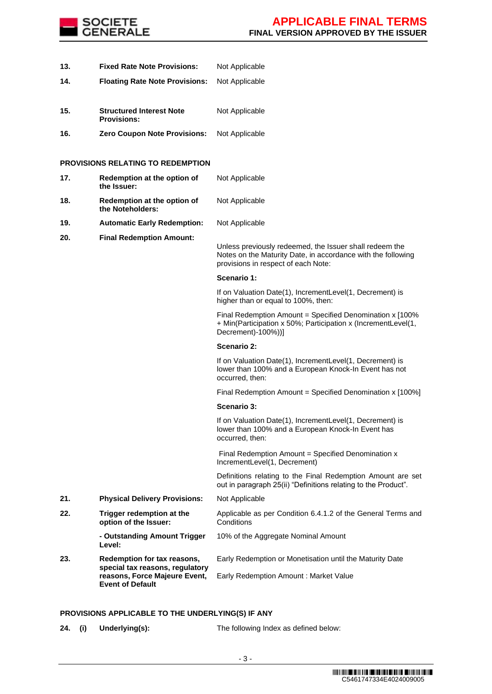

- **13. Fixed Rate Note Provisions:** Not Applicable **14. Floating Rate Note Provisions:** Not Applicable
- **15. Structured Interest Note Provisions:** Not Applicable
- **16. Zero Coupon Note Provisions:** Not Applicable

# **PROVISIONS RELATING TO REDEMPTION**

| 17. | Redemption at the option of<br>the Issuer:                                                                                 | Not Applicable                                                                                                                                                 |
|-----|----------------------------------------------------------------------------------------------------------------------------|----------------------------------------------------------------------------------------------------------------------------------------------------------------|
| 18. | Redemption at the option of<br>the Noteholders:                                                                            | Not Applicable                                                                                                                                                 |
| 19. | <b>Automatic Early Redemption:</b>                                                                                         | Not Applicable                                                                                                                                                 |
| 20. | <b>Final Redemption Amount:</b>                                                                                            | Unless previously redeemed, the Issuer shall redeem the<br>Notes on the Maturity Date, in accordance with the following<br>provisions in respect of each Note: |
|     |                                                                                                                            | Scenario 1:                                                                                                                                                    |
|     |                                                                                                                            | If on Valuation Date(1), IncrementLevel(1, Decrement) is<br>higher than or equal to 100%, then:                                                                |
|     |                                                                                                                            | Final Redemption Amount = Specified Denomination x [100%<br>+ Min(Participation x 50%; Participation x (IncrementLevel(1,<br>Decrement)-100%))]                |
|     |                                                                                                                            | Scenario 2:                                                                                                                                                    |
|     |                                                                                                                            | If on Valuation Date(1), IncrementLevel(1, Decrement) is<br>lower than 100% and a European Knock-In Event has not<br>occurred, then:                           |
|     |                                                                                                                            | Final Redemption Amount = Specified Denomination x [100%]                                                                                                      |
|     |                                                                                                                            | Scenario 3:                                                                                                                                                    |
|     |                                                                                                                            | If on Valuation Date(1), IncrementLevel(1, Decrement) is<br>lower than 100% and a European Knock-In Event has<br>occurred, then:                               |
|     |                                                                                                                            | Final Redemption Amount = Specified Denomination x<br>IncrementLevel(1, Decrement)                                                                             |
|     |                                                                                                                            | Definitions relating to the Final Redemption Amount are set<br>out in paragraph 25(ii) "Definitions relating to the Product".                                  |
| 21. | <b>Physical Delivery Provisions:</b>                                                                                       | Not Applicable                                                                                                                                                 |
| 22. | Trigger redemption at the<br>option of the Issuer:                                                                         | Applicable as per Condition 6.4.1.2 of the General Terms and<br>Conditions                                                                                     |
|     | - Outstanding Amount Trigger<br>Level:                                                                                     | 10% of the Aggregate Nominal Amount                                                                                                                            |
| 23. | Redemption for tax reasons,<br>special tax reasons, regulatory<br>reasons, Force Majeure Event,<br><b>Event of Default</b> | Early Redemption or Monetisation until the Maturity Date<br>Early Redemption Amount : Market Value                                                             |
|     |                                                                                                                            |                                                                                                                                                                |

## **PROVISIONS APPLICABLE TO THE UNDERLYING(S) IF ANY**

**24. (i) Underlying(s):** The following Index as defined below: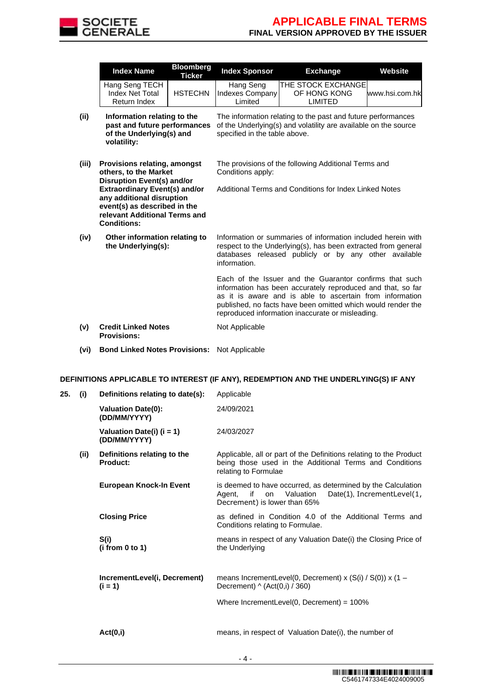

|       | <b>Index Name</b>                                                                                                                                        | <b>Bloomberg</b><br><b>Ticker</b> | <b>Index Sponsor</b>                                                                                                                                             | <b>Exchange</b>                                                                                                                                                                                                                                                                                        | <b>Website</b> |  |  |
|-------|----------------------------------------------------------------------------------------------------------------------------------------------------------|-----------------------------------|------------------------------------------------------------------------------------------------------------------------------------------------------------------|--------------------------------------------------------------------------------------------------------------------------------------------------------------------------------------------------------------------------------------------------------------------------------------------------------|----------------|--|--|
|       | Hang Seng TECH<br>Index Net Total<br><b>Return Index</b>                                                                                                 | <b>HSTECHN</b>                    | Hang Seng<br><b>Indexes Company</b><br>Limited                                                                                                                   | THE STOCK EXCHANGE<br>OF HONG KONG<br><b>LIMITED</b>                                                                                                                                                                                                                                                   | www.hsi.com.hk |  |  |
| (ii)  | Information relating to the<br>past and future performances<br>of the Underlying(s) and<br>volatility:                                                   |                                   | The information relating to the past and future performances<br>of the Underlying(s) and volatility are available on the source<br>specified in the table above. |                                                                                                                                                                                                                                                                                                        |                |  |  |
| (iii) | <b>Provisions relating, amongst</b><br>others, to the Market<br>Disruption Event(s) and/or                                                               |                                   | The provisions of the following Additional Terms and<br>Conditions apply:                                                                                        |                                                                                                                                                                                                                                                                                                        |                |  |  |
|       | <b>Extraordinary Event(s) and/or</b><br>any additional disruption<br>event(s) as described in the<br>relevant Additional Terms and<br><b>Conditions:</b> |                                   | Additional Terms and Conditions for Index Linked Notes                                                                                                           |                                                                                                                                                                                                                                                                                                        |                |  |  |
| (iv)  | Other information relating to<br>the Underlying(s):                                                                                                      |                                   | information.                                                                                                                                                     | Information or summaries of information included herein with<br>respect to the Underlying(s), has been extracted from general<br>databases released publicly or by any other available                                                                                                                 |                |  |  |
|       |                                                                                                                                                          |                                   |                                                                                                                                                                  | Each of the Issuer and the Guarantor confirms that such<br>information has been accurately reproduced and that, so far<br>as it is aware and is able to ascertain from information<br>published, no facts have been omitted which would render the<br>reproduced information inaccurate or misleading. |                |  |  |
| (v)   | <b>Credit Linked Notes</b><br><b>Provisions:</b>                                                                                                         |                                   | Not Applicable                                                                                                                                                   |                                                                                                                                                                                                                                                                                                        |                |  |  |
| (vi)  | <b>Bond Linked Notes Provisions:</b>                                                                                                                     |                                   | Not Applicable                                                                                                                                                   |                                                                                                                                                                                                                                                                                                        |                |  |  |

# **DEFINITIONS APPLICABLE TO INTEREST (IF ANY), REDEMPTION AND THE UNDERLYING(S) IF ANY**

| 25. | (i)  | Definitions relating to date(s):          | Applicable                                                                                                                                                    |
|-----|------|-------------------------------------------|---------------------------------------------------------------------------------------------------------------------------------------------------------------|
|     |      | <b>Valuation Date(0):</b><br>(DD/MM/YYYY) | 24/09/2021                                                                                                                                                    |
|     |      | Valuation Date(i) (i = 1)<br>(DD/MM/YYYY) | 24/03/2027                                                                                                                                                    |
|     | (ii) | Definitions relating to the<br>Product:   | Applicable, all or part of the Definitions relating to the Product<br>being those used in the Additional Terms and Conditions<br>relating to Formulae         |
|     |      | European Knock-In Event                   | is deemed to have occurred, as determined by the Calculation<br>if<br>Valuation<br>Date(1), IncrementLevel(1,<br>Agent,<br>on<br>Decrement) is lower than 65% |
|     |      | <b>Closing Price</b>                      | as defined in Condition 4.0 of the Additional Terms and<br>Conditions relating to Formulae.                                                                   |
|     |      | S(i)<br>(i from 0 to 1)                   | means in respect of any Valuation Date(i) the Closing Price of<br>the Underlying                                                                              |
|     |      | IncrementLevel(i, Decrement)<br>$(i = 1)$ | means IncrementLevel(0, Decrement) x (S(i) / S(0)) x (1 -<br>Decrement) $\wedge$ (Act(0,i) / 360)                                                             |
|     |      |                                           | Where IncrementLevel $(0,$ Decrement $) = 100\%$                                                                                                              |
|     |      | Act(0,i)                                  | means, in respect of Valuation Date(i), the number of                                                                                                         |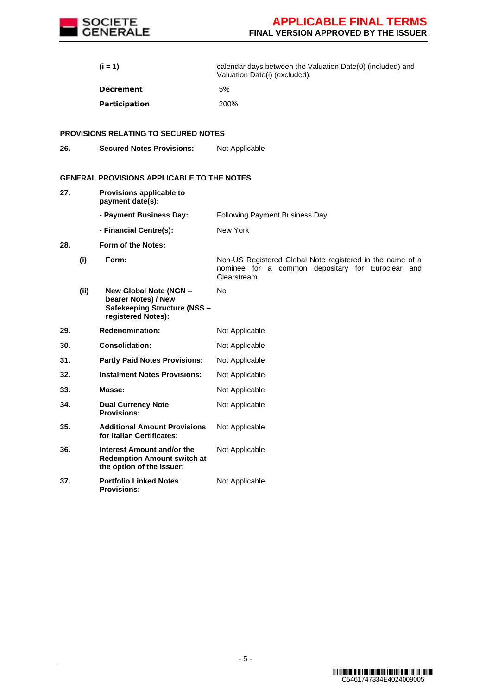

|     |      | (i = 1)                                                                                             | calendar days between the Valuation Date(0) (included) and<br>Valuation Date(i) (excluded).                                   |
|-----|------|-----------------------------------------------------------------------------------------------------|-------------------------------------------------------------------------------------------------------------------------------|
|     |      | <b>Decrement</b>                                                                                    | 5%                                                                                                                            |
|     |      | Participation                                                                                       | 200%                                                                                                                          |
|     |      | <b>PROVISIONS RELATING TO SECURED NOTES</b>                                                         |                                                                                                                               |
| 26. |      | <b>Secured Notes Provisions:</b>                                                                    | Not Applicable                                                                                                                |
|     |      | <b>GENERAL PROVISIONS APPLICABLE TO THE NOTES</b>                                                   |                                                                                                                               |
| 27. |      | Provisions applicable to<br>payment date(s):                                                        |                                                                                                                               |
|     |      | - Payment Business Day:                                                                             | <b>Following Payment Business Day</b>                                                                                         |
|     |      | - Financial Centre(s):                                                                              | New York                                                                                                                      |
| 28. |      | Form of the Notes:                                                                                  |                                                                                                                               |
|     | (i)  | Form:                                                                                               | Non-US Registered Global Note registered in the name of a<br>nominee for a common depositary for Euroclear and<br>Clearstream |
|     | (ii) | New Global Note (NGN -<br>bearer Notes) / New<br>Safekeeping Structure (NSS -<br>registered Notes): | No                                                                                                                            |
| 29. |      | <b>Redenomination:</b>                                                                              | Not Applicable                                                                                                                |
| 30. |      | <b>Consolidation:</b>                                                                               | Not Applicable                                                                                                                |
| 31. |      | <b>Partly Paid Notes Provisions:</b>                                                                | Not Applicable                                                                                                                |
| 32. |      | <b>Instalment Notes Provisions:</b>                                                                 | Not Applicable                                                                                                                |
| 33. |      | Masse:                                                                                              | Not Applicable                                                                                                                |
| 34. |      | <b>Dual Currency Note</b><br><b>Provisions:</b>                                                     | Not Applicable                                                                                                                |
| 35. |      | <b>Additional Amount Provisions</b><br>for Italian Certificates:                                    | Not Applicable                                                                                                                |
| 36. |      | Interest Amount and/or the<br><b>Redemption Amount switch at</b><br>the option of the Issuer:       | Not Applicable                                                                                                                |
| 37. |      | <b>Portfolio Linked Notes</b><br><b>Provisions:</b>                                                 | Not Applicable                                                                                                                |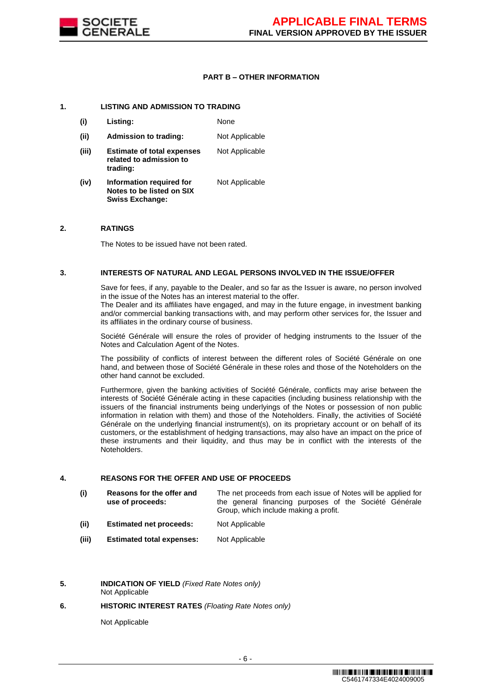

### **PART B – OTHER INFORMATION**

#### **1. LISTING AND ADMISSION TO TRADING**

**Swiss Exchange:**

**(i) Listing:** None **(ii) Admission to trading:** Not Applicable **(iii) Estimate of total expenses related to admission to trading:** Not Applicable **(iv) Information required for Notes to be listed on SIX**  Not Applicable

#### **2. RATINGS**

The Notes to be issued have not been rated.

#### **3. INTERESTS OF NATURAL AND LEGAL PERSONS INVOLVED IN THE ISSUE/OFFER**

Save for fees, if any, payable to the Dealer, and so far as the Issuer is aware, no person involved in the issue of the Notes has an interest material to the offer.

The Dealer and its affiliates have engaged, and may in the future engage, in investment banking and/or commercial banking transactions with, and may perform other services for, the Issuer and its affiliates in the ordinary course of business.

Société Générale will ensure the roles of provider of hedging instruments to the Issuer of the Notes and Calculation Agent of the Notes.

The possibility of conflicts of interest between the different roles of Société Générale on one hand, and between those of Société Générale in these roles and those of the Noteholders on the other hand cannot be excluded.

Furthermore, given the banking activities of Société Générale, conflicts may arise between the interests of Société Générale acting in these capacities (including business relationship with the issuers of the financial instruments being underlyings of the Notes or possession of non public information in relation with them) and those of the Noteholders. Finally, the activities of Société Générale on the underlying financial instrument(s), on its proprietary account or on behalf of its customers, or the establishment of hedging transactions, may also have an impact on the price of these instruments and their liquidity, and thus may be in conflict with the interests of the Noteholders.

#### **4. REASONS FOR THE OFFER AND USE OF PROCEEDS**

| (i) | Reasons for the offer and | The net proceeds from each issue of Notes will be applied for |  |  |  |  |
|-----|---------------------------|---------------------------------------------------------------|--|--|--|--|
|     | use of proceeds:          | the general financing purposes of the Société Générale        |  |  |  |  |
|     |                           | Group, which include making a profit.                         |  |  |  |  |

- **(ii) Estimated net proceeds:** Not Applicable
- **(iii) Estimated total expenses:** Not Applicable
- **5. INDICATION OF YIELD** *(Fixed Rate Notes only)* Not Applicable

#### **6. HISTORIC INTEREST RATES** *(Floating Rate Notes only)*

Not Applicable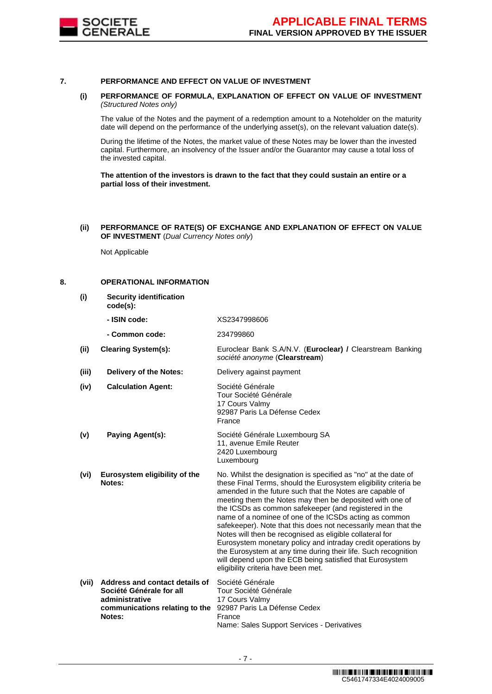

#### **7. PERFORMANCE AND EFFECT ON VALUE OF INVESTMENT**

#### **(i) PERFORMANCE OF FORMULA, EXPLANATION OF EFFECT ON VALUE OF INVESTMENT**  *(Structured Notes only)*

The value of the Notes and the payment of a redemption amount to a Noteholder on the maturity date will depend on the performance of the underlying asset(s), on the relevant valuation date(s).

During the lifetime of the Notes, the market value of these Notes may be lower than the invested capital. Furthermore, an insolvency of the Issuer and/or the Guarantor may cause a total loss of the invested capital.

**The attention of the investors is drawn to the fact that they could sustain an entire or a partial loss of their investment.**

**(ii) PERFORMANCE OF RATE(S) OF EXCHANGE AND EXPLANATION OF EFFECT ON VALUE OF INVESTMENT** (*Dual Currency Notes only*)

Not Applicable

#### **8. OPERATIONAL INFORMATION**

**(i) Security identification code(s): - ISIN code:** XS2347998606 **- Common code:** 234799860 **(ii) Clearing System(s):** Euroclear Bank S.A/N.V. (**Euroclear) /** Clearstream Banking *société anonyme* (**Clearstream**) **(iii) Delivery of the Notes:** Delivery against payment **(iv) Calculation Agent:** Société Générale Tour Société Générale 17 Cours Valmy 92987 Paris La Défense Cedex France **(v) Paying Agent(s):** Société Générale Luxembourg SA 11, avenue Emile Reuter 2420 Luxembourg Luxembourg **(vi) Eurosystem eligibility of the Notes:** No. Whilst the designation is specified as "no" at the date of these Final Terms, should the Eurosystem eligibility criteria be amended in the future such that the Notes are capable of meeting them the Notes may then be deposited with one of the ICSDs as common safekeeper (and registered in the name of a nominee of one of the ICSDs acting as common safekeeper). Note that this does not necessarily mean that the Notes will then be recognised as eligible collateral for Eurosystem monetary policy and intraday credit operations by the Eurosystem at any time during their life. Such recognition will depend upon the ECB being satisfied that Eurosystem eligibility criteria have been met. **(vii) Address and contact details of Société Générale for all administrative communications relating to the Notes:** Société Générale Tour Société Générale 17 Cours Valmy 92987 Paris La Défense Cedex France Name: Sales Support Services - Derivatives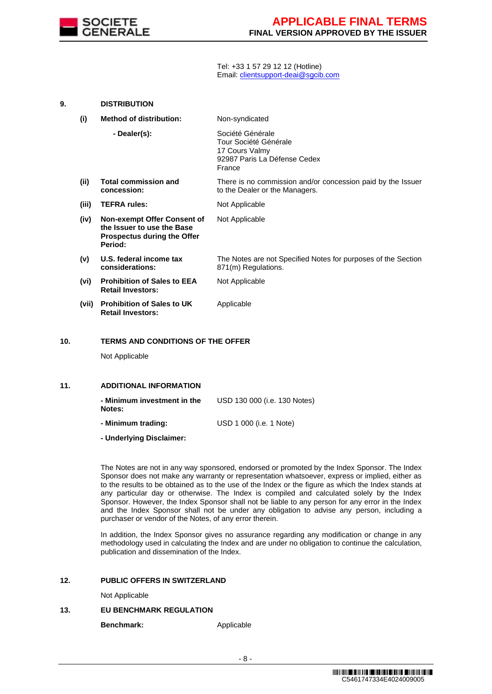

Tel: +33 1 57 29 12 12 (Hotline) Email[: clientsupport-deai@sgcib.com](mailto:clientsupport-deai@sgcib.com)

| 9. |       | <b>DISTRIBUTION</b>                                                                                        |                                                                                                       |
|----|-------|------------------------------------------------------------------------------------------------------------|-------------------------------------------------------------------------------------------------------|
|    | (i)   | <b>Method of distribution:</b>                                                                             | Non-syndicated                                                                                        |
|    |       | - Dealer(s):                                                                                               | Société Générale<br>Tour Société Générale<br>17 Cours Valmy<br>92987 Paris La Défense Cedex<br>France |
|    | (ii)  | <b>Total commission and</b><br>concession:                                                                 | There is no commission and/or concession paid by the Issuer<br>to the Dealer or the Managers.         |
|    | (iii) | <b>TEFRA rules:</b>                                                                                        | Not Applicable                                                                                        |
|    | (iv)  | Non-exempt Offer Consent of<br>the Issuer to use the Base<br><b>Prospectus during the Offer</b><br>Period: | Not Applicable                                                                                        |
|    | (v)   | U.S. federal income tax<br>considerations:                                                                 | The Notes are not Specified Notes for purposes of the Section<br>871(m) Regulations.                  |
|    | (vi)  | <b>Prohibition of Sales to EEA</b><br><b>Retail Investors:</b>                                             | Not Applicable                                                                                        |
|    | (vii) | <b>Prohibition of Sales to UK</b><br><b>Retail Investors:</b>                                              | Applicable                                                                                            |
|    |       |                                                                                                            |                                                                                                       |

# **10. TERMS AND CONDITIONS OF THE OFFER**

Not Applicable

#### **11. ADDITIONAL INFORMATION**

| - Minimum investment in the<br>Notes: | USD 130 000 (i.e. 130 Notes)    |
|---------------------------------------|---------------------------------|
| - Minimum trading:                    | USD 1 000 ( <i>i.e.</i> 1 Note) |

**- Underlying Disclaimer:**

The Notes are not in any way sponsored, endorsed or promoted by the Index Sponsor. The Index Sponsor does not make any warranty or representation whatsoever, express or implied, either as to the results to be obtained as to the use of the Index or the figure as which the Index stands at any particular day or otherwise. The Index is compiled and calculated solely by the Index Sponsor. However, the Index Sponsor shall not be liable to any person for any error in the Index and the Index Sponsor shall not be under any obligation to advise any person, including a purchaser or vendor of the Notes, of any error therein.

In addition, the Index Sponsor gives no assurance regarding any modification or change in any methodology used in calculating the Index and are under no obligation to continue the calculation, publication and dissemination of the Index.

#### **12. PUBLIC OFFERS IN SWITZERLAND**

Not Applicable

## **13. EU BENCHMARK REGULATION**

**Benchmark:** Applicable